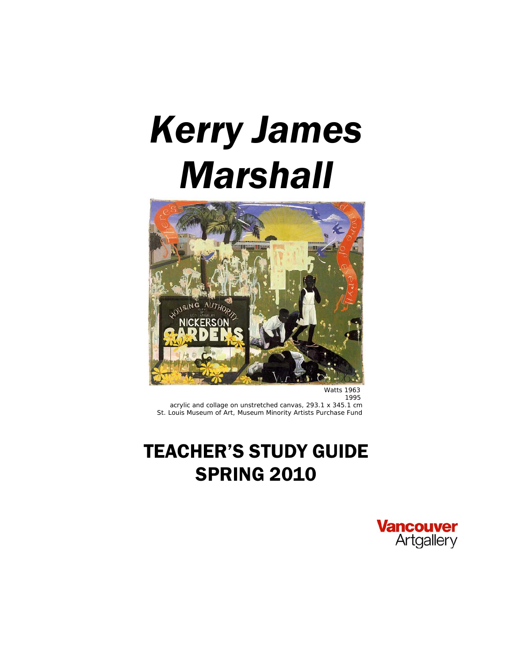# *Kerry James Marshall*



*Watts 1963* 1995 acrylic and collage on unstretched canvas, 293.1 x 345.1 cm St. Louis Museum of Art, Museum Minority Artists Purchase Fund

# TEACHER'S STUDY GUIDE **SPRING 2010**

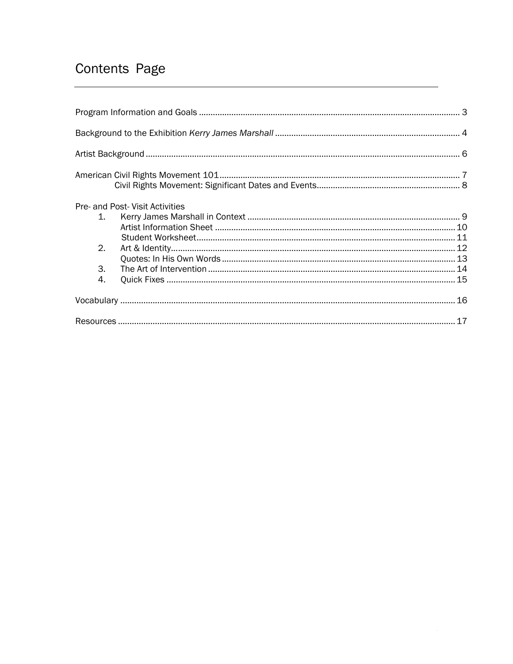### Contents Page

|          | Pre- and Post- Visit Activities |  |
|----------|---------------------------------|--|
| $1_{-}$  |                                 |  |
|          |                                 |  |
|          |                                 |  |
| 2.       |                                 |  |
|          |                                 |  |
| 3.<br>4. |                                 |  |
|          |                                 |  |
|          |                                 |  |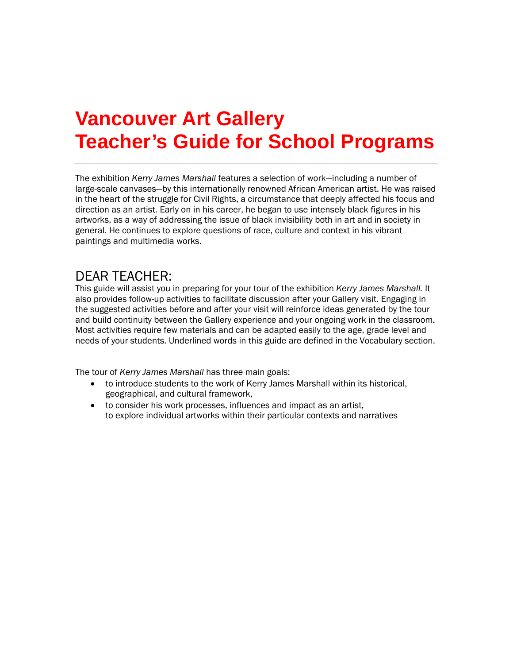# **Vancouver Art Gallery Teacher's Guide for School Programs**

The exhibition *Kerry James Marshall* features a selection of work—including a number of large-scale canvases—by this internationally renowned African American artist. He was raised in the heart of the struggle for Civil Rights, a circumstance that deeply affected his focus and direction as an artist. Early on in his career, he began to use intensely black figures in his artworks, as a way of addressing the issue of black invisibility both in art and in society in general. He continues to explore questions of race, culture and context in his vibrant paintings and multimedia works.

### DEAR TEACHER:

This guide will assist you in preparing for your tour of the exhibition *Kerry James Marshall.* It also provides follow-up activities to facilitate discussion after your Gallery visit. Engaging in the suggested activities before and after your visit will reinforce ideas generated by the tour and build continuity between the Gallery experience and your ongoing work in the classroom. Most activities require few materials and can be adapted easily to the age, grade level and needs of your students. Underlined words in this guide are defined in the Vocabulary section.

The tour of *Kerry James Marshall* has three main goals:

- to introduce students to the work of Kerry James Marshall within its historical, geographical, and cultural framework,
- to consider his work processes, influences and impact as an artist, to explore individual artworks within their particular contexts and narratives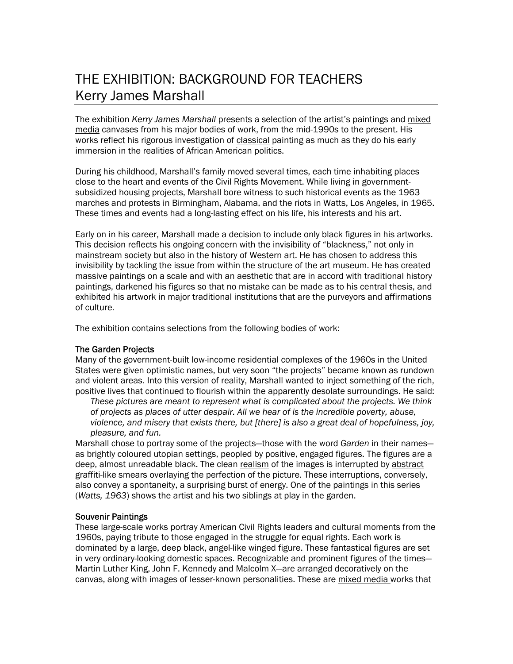### THE EXHIBITION: BACKGROUND FOR TEACHERS Kerry James Marshall

The exhibition *Kerry James Marshall* presents a selection of the artist's paintings and mixed media canvases from his major bodies of work, from the mid-1990s to the present. His works reflect his rigorous investigation of classical painting as much as they do his early immersion in the realities of African American politics.

During his childhood, Marshall's family moved several times, each time inhabiting places close to the heart and events of the Civil Rights Movement. While living in governmentsubsidized housing projects, Marshall bore witness to such historical events as the 1963 marches and protests in Birmingham, Alabama, and the riots in Watts, Los Angeles, in 1965. These times and events had a long-lasting effect on his life, his interests and his art.

Early on in his career, Marshall made a decision to include only black figures in his artworks. This decision reflects his ongoing concern with the invisibility of "blackness," not only in mainstream society but also in the history of Western art. He has chosen to address this invisibility by tackling the issue from within the structure of the art museum. He has created massive paintings on a scale and with an aesthetic that are in accord with traditional history paintings, darkened his figures so that no mistake can be made as to his central thesis, and exhibited his artwork in major traditional institutions that are the purveyors and affirmations of culture.

The exhibition contains selections from the following bodies of work:

#### The Garden Projects

Many of the government-built low-income residential complexes of the 1960s in the United States were given optimistic names, but very soon "the projects" became known as rundown and violent areas. Into this version of reality, Marshall wanted to inject something of the rich, positive lives that continued to flourish within the apparently desolate surroundings. He said:

*These pictures are meant to represent what is complicated about the projects. We think of projects as places of utter despair. All we hear of is the incredible poverty, abuse, violence, and misery that exists there, but [there] is also a great deal of hopefulness, joy, pleasure, and fun.*

Marshall chose to portray some of the projects—those with the word *Garden* in their names as brightly coloured utopian settings, peopled by positive, engaged figures. The figures are a deep, almost unreadable black. The clean realism of the images is interrupted by abstract graffiti-like smears overlaying the perfection of the picture. These interruptions, conversely, also convey a spontaneity, a surprising burst of energy. One of the paintings in this series (*Watts, 1963*) shows the artist and his two siblings at play in the garden.

#### Souvenir Paintings

These large-scale works portray American Civil Rights leaders and cultural moments from the 1960s, paying tribute to those engaged in the struggle for equal rights. Each work is dominated by a large, deep black, angel-like winged figure. These fantastical figures are set in very ordinary-looking domestic spaces. Recognizable and prominent figures of the times— Martin Luther King, John F. Kennedy and Malcolm X—are arranged decoratively on the canvas, along with images of lesser-known personalities. These are mixed media works that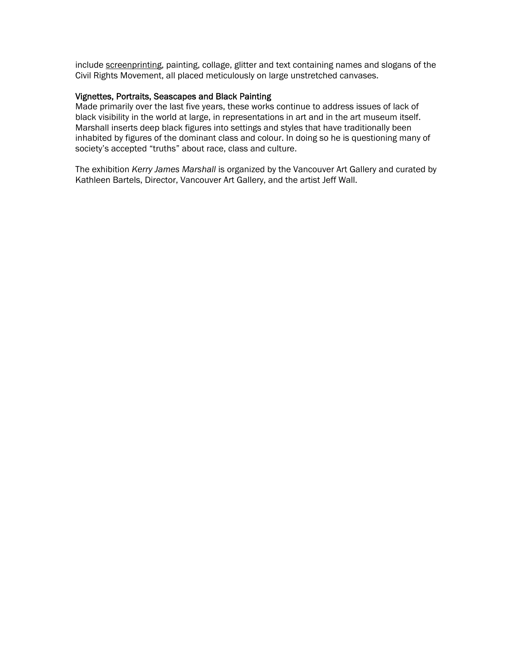include screenprinting, painting, collage, glitter and text containing names and slogans of the Civil Rights Movement, all placed meticulously on large unstretched canvases.

#### Vignettes, Portraits, Seascapes and Black Painting

Made primarily over the last five years, these works continue to address issues of lack of black visibility in the world at large, in representations in art and in the art museum itself. Marshall inserts deep black figures into settings and styles that have traditionally been inhabited by figures of the dominant class and colour. In doing so he is questioning many of society's accepted "truths" about race, class and culture.

The exhibition *Kerry James Marshall* is organized by the Vancouver Art Gallery and curated by Kathleen Bartels, Director, Vancouver Art Gallery, and the artist Jeff Wall.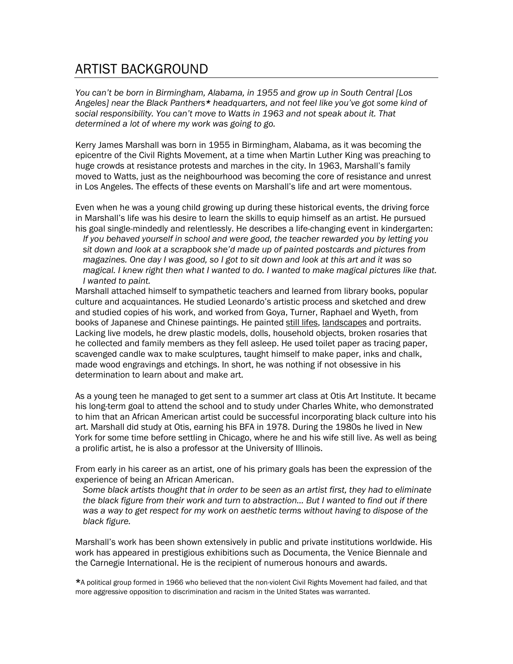### ARTIST BACKGROUND

*You can't be born in Birmingham, Alabama, in 1955 and grow up in South Central [Los Angeles] near the Black Panthers\* headquarters, and not feel like you've got some kind of social responsibility. You can't move to Watts in 1963 and not speak about it. That determined a lot of where my work was going to go.*

Kerry James Marshall was born in 1955 in Birmingham, Alabama, as it was becoming the epicentre of the Civil Rights Movement, at a time when Martin Luther King was preaching to huge crowds at resistance protests and marches in the city. In 1963, Marshall's family moved to Watts, just as the neighbourhood was becoming the core of resistance and unrest in Los Angeles. The effects of these events on Marshall's life and art were momentous.

Even when he was a young child growing up during these historical events, the driving force in Marshall's life was his desire to learn the skills to equip himself as an artist. He pursued his goal single-mindedly and relentlessly. He describes a life-changing event in kindergarten:

*If you behaved yourself in school and were good, the teacher rewarded you by letting you sit down and look at a scrapbook she'd made up of painted postcards and pictures from magazines. One day I was good, so I got to sit down and look at this art and it was so magical. I knew right then what I wanted to do. I wanted to make magical pictures like that. I wanted to paint.* 

Marshall attached himself to sympathetic teachers and learned from library books, popular culture and acquaintances. He studied Leonardo's artistic process and sketched and drew and studied copies of his work, and worked from Goya, Turner, Raphael and Wyeth, from books of Japanese and Chinese paintings. He painted still lifes, landscapes and portraits. Lacking live models, he drew plastic models, dolls, household objects, broken rosaries that he collected and family members as they fell asleep. He used toilet paper as tracing paper, scavenged candle wax to make sculptures, taught himself to make paper, inks and chalk, made wood engravings and etchings. In short, he was nothing if not obsessive in his determination to learn about and make art.

As a young teen he managed to get sent to a summer art class at Otis Art Institute. It became his long-term goal to attend the school and to study under Charles White, who demonstrated to him that an African American artist could be successful incorporating black culture into his art. Marshall did study at Otis, earning his BFA in 1978. During the 1980s he lived in New York for some time before settling in Chicago, where he and his wife still live. As well as being a prolific artist, he is also a professor at the University of Illinois.

From early in his career as an artist, one of his primary goals has been the expression of the experience of being an African American.

*Some black artists thought that in order to be seen as an artist first, they had to eliminate the black figure from their work and turn to abstraction… But I wanted to find out if there was a way to get respect for my work on aesthetic terms without having to dispose of the black figure.* 

Marshall's work has been shown extensively in public and private institutions worldwide. His work has appeared in prestigious exhibitions such as Documenta, the Venice Biennale and the Carnegie International. He is the recipient of numerous honours and awards.

\*A political group formed in 1966 who believed that the non-violent Civil Rights Movement had failed, and that more aggressive opposition to discrimination and racism in the United States was warranted.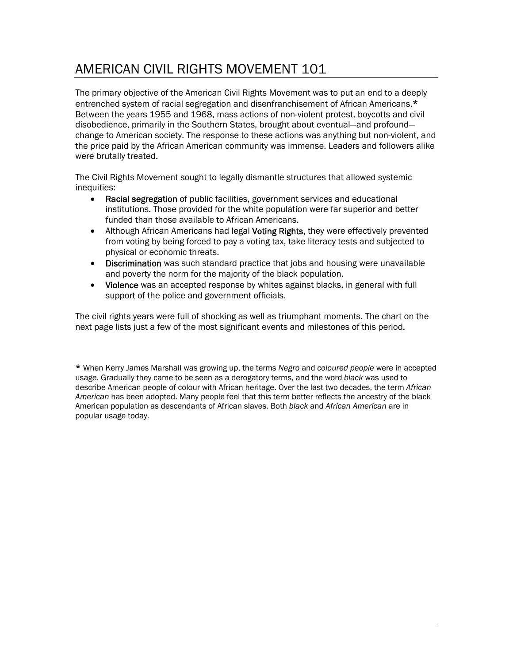### AMERICAN CIVIL RIGHTS MOVEMENT 101

The primary objective of the American Civil Rights Movement was to put an end to a deeply entrenched system of racial segregation and disenfranchisement of African Americans.\* Between the years 1955 and 1968, mass actions of non-violent protest, boycotts and civil disobedience, primarily in the Southern States, brought about eventual—and profound change to American society. The response to these actions was anything but non-violent, and the price paid by the African American community was immense. Leaders and followers alike were brutally treated.

The Civil Rights Movement sought to legally dismantle structures that allowed systemic inequities:

- Racial segregation of public facilities, government services and educational institutions. Those provided for the white population were far superior and better funded than those available to African Americans.
- Although African Americans had legal Voting Rights, they were effectively prevented from voting by being forced to pay a voting tax, take literacy tests and subjected to physical or economic threats.
- Discrimination was such standard practice that jobs and housing were unavailable and poverty the norm for the majority of the black population.
- Violence was an accepted response by whites against blacks, in general with full support of the police and government officials.

The civil rights years were full of shocking as well as triumphant moments. The chart on the next page lists just a few of the most significant events and milestones of this period.

\* When Kerry James Marshall was growing up, the terms *Negro* and *coloured people* were in accepted usage. Gradually they came to be seen as a derogatory terms, and the word *black* was used to describe American people of colour with African heritage. Over the last two decades, the term *African American* has been adopted. Many people feel that this term better reflects the ancestry of the black American population as descendants of African slaves. Both *black* and *African American* are in popular usage today.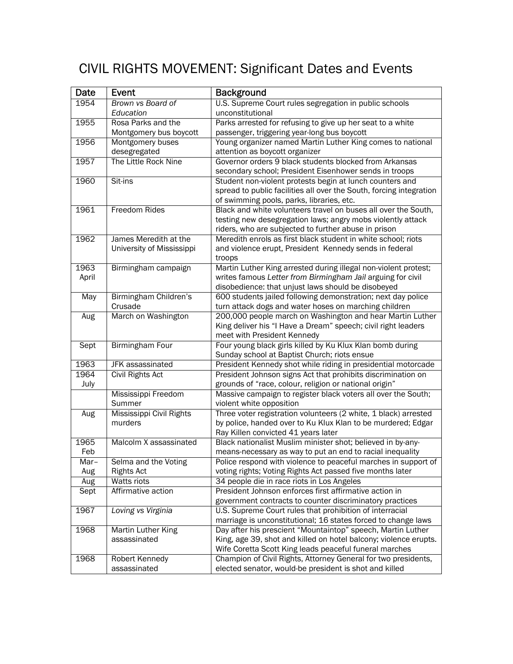## CIVIL RIGHTS MOVEMENT: Significant Dates and Events

| Date  | Event                     | <b>Background</b>                                                                                    |  |
|-------|---------------------------|------------------------------------------------------------------------------------------------------|--|
| 1954  | Brown vs Board of         | U.S. Supreme Court rules segregation in public schools                                               |  |
|       | Education                 | unconstitutional                                                                                     |  |
| 1955  | Rosa Parks and the        | Parks arrested for refusing to give up her seat to a white                                           |  |
|       | Montgomery bus boycott    | passenger, triggering year-long bus boycott                                                          |  |
| 1956  | Montgomery buses          | Young organizer named Martin Luther King comes to national                                           |  |
|       | desegregated              | attention as boycott organizer                                                                       |  |
| 1957  | The Little Rock Nine      | Governor orders 9 black students blocked from Arkansas                                               |  |
|       |                           | secondary school; President Eisenhower sends in troops                                               |  |
| 1960  | Sit-ins                   | Student non-violent protests begin at lunch counters and                                             |  |
|       |                           | spread to public facilities all over the South, forcing integration                                  |  |
|       |                           | of swimming pools, parks, libraries, etc.                                                            |  |
| 1961  | <b>Freedom Rides</b>      | Black and white volunteers travel on buses all over the South,                                       |  |
|       |                           | testing new desegregation laws; angry mobs violently attack                                          |  |
|       |                           | riders, who are subjected to further abuse in prison                                                 |  |
| 1962  | James Meredith at the     | Meredith enrols as first black student in white school; riots                                        |  |
|       | University of Mississippi | and violence erupt, President Kennedy sends in federal                                               |  |
|       |                           | troops                                                                                               |  |
| 1963  | Birmingham campaign       | Martin Luther King arrested during illegal non-violent protest;                                      |  |
| April |                           | writes famous Letter from Birmingham Jail arguing for civil                                          |  |
|       |                           | disobedience: that unjust laws should be disobeyed                                                   |  |
| May   | Birmingham Children's     | 600 students jailed following demonstration; next day police                                         |  |
|       | Crusade                   | turn attack dogs and water hoses on marching children                                                |  |
| Aug   | March on Washington       | 200,000 people march on Washington and hear Martin Luther                                            |  |
|       |                           | King deliver his "I Have a Dream" speech; civil right leaders                                        |  |
|       |                           | meet with President Kennedy                                                                          |  |
| Sept  | <b>Birmingham Four</b>    | Four young black girls killed by Ku Klux Klan bomb during                                            |  |
|       |                           | Sunday school at Baptist Church; riots ensue                                                         |  |
| 1963  | <b>JFK</b> assassinated   | President Kennedy shot while riding in presidential motorcade                                        |  |
| 1964  | <b>Civil Rights Act</b>   | President Johnson signs Act that prohibits discrimination on                                         |  |
| July  |                           | grounds of "race, colour, religion or national origin"                                               |  |
|       | Mississippi Freedom       | Massive campaign to register black voters all over the South;                                        |  |
|       | Summer                    | violent white opposition                                                                             |  |
| Aug   | Mississippi Civil Rights  | Three voter registration volunteers (2 white, 1 black) arrested                                      |  |
|       | murders                   | by police, handed over to Ku Klux Klan to be murdered; Edgar                                         |  |
|       |                           | Ray Killen convicted 41 years later                                                                  |  |
| 1965  | Malcolm X assassinated    | Black nationalist Muslim minister shot; believed in by-any-                                          |  |
| Feb   |                           | means-necessary as way to put an end to racial inequality                                            |  |
| Mar-  | Selma and the Voting      | Police respond with violence to peaceful marches in support of                                       |  |
| Aug   | <b>Rights Act</b>         | voting rights; Voting Rights Act passed five months later                                            |  |
| Aug   | <b>Watts riots</b>        | 34 people die in race riots in Los Angeles<br>President Johnson enforces first affirmative action in |  |
| Sept  | Affirmative action        |                                                                                                      |  |
|       |                           | government contracts to counter discriminatory practices                                             |  |
| 1967  | Loving vs Virginia        | U.S. Supreme Court rules that prohibition of interracial                                             |  |
|       |                           | marriage is unconstitutional; 16 states forced to change laws                                        |  |
| 1968  | <b>Martin Luther King</b> | Day after his prescient "Mountaintop" speech, Martin Luther                                          |  |
|       | assassinated              | King, age 39, shot and killed on hotel balcony; violence erupts.                                     |  |
|       |                           | Wife Coretta Scott King leads peaceful funeral marches                                               |  |
| 1968  | Robert Kennedy            | Champion of Civil Rights, Attorney General for two presidents,                                       |  |
|       | assassinated              | elected senator, would-be president is shot and killed                                               |  |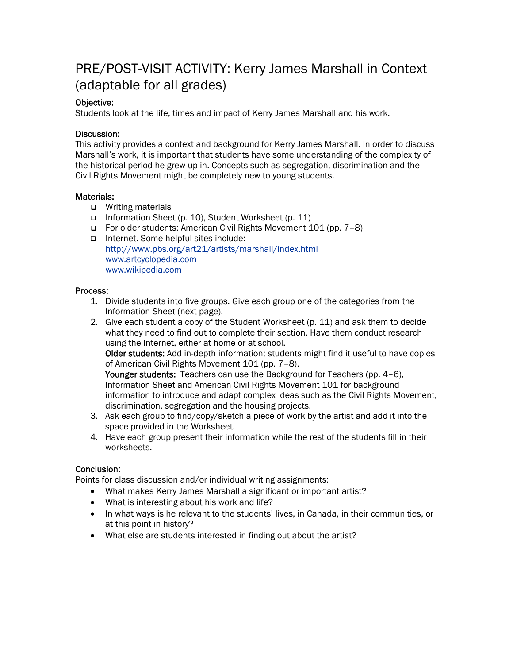### PRE/POST-VISIT ACTIVITY: Kerry James Marshall in Context (adaptable for all grades)

### Objective:

Students look at the life, times and impact of Kerry James Marshall and his work.

#### Discussion:

This activity provides a context and background for Kerry James Marshall. In order to discuss Marshall's work, it is important that students have some understanding of the complexity of the historical period he grew up in. Concepts such as segregation, discrimination and the Civil Rights Movement might be completely new to young students.

### Materials:

- **u** Writing materials
- Information Sheet (p. 10), Student Worksheet (p. 11)
- For older students: American Civil Rights Movement 101 (pp. 7–8)
- Internet. Some helpful sites include: <http://www.pbs.org/art21/artists/marshall/index.html> [www.artcyclopedia.com](http://www.artcyclopedia.com/) [www.wikipedia.com](http://www.wikipedia.com/)

#### Process:

- 1. Divide students into five groups. Give each group one of the categories from the Information Sheet (next page).
- 2. Give each student a copy of the Student Worksheet (p. 11) and ask them to decide what they need to find out to complete their section. Have them conduct research using the Internet, either at home or at school.

Older students: Add in-depth information; students might find it useful to have copies of American Civil Rights Movement 101 (pp. 7–8).

Younger students: Teachers can use the Background for Teachers (pp. 4–6), Information Sheet and American Civil Rights Movement 101 for background information to introduce and adapt complex ideas such as the Civil Rights Movement, discrimination, segregation and the housing projects.

- 3. Ask each group to find/copy/sketch a piece of work by the artist and add it into the space provided in the Worksheet.
- 4. Have each group present their information while the rest of the students fill in their worksheets.

#### Conclusion:

Points for class discussion and/or individual writing assignments:

- What makes Kerry James Marshall a significant or important artist?
- What is interesting about his work and life?
- In what ways is he relevant to the students' lives, in Canada, in their communities, or at this point in history?
- What else are students interested in finding out about the artist?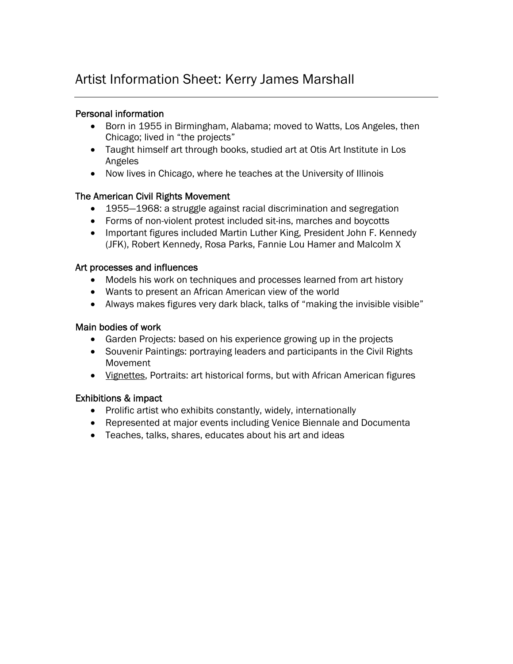### Artist Information Sheet: Kerry James Marshall

### Personal information

- Born in 1955 in Birmingham, Alabama; moved to Watts, Los Angeles, then Chicago; lived in "the projects"
- Taught himself art through books, studied art at Otis Art Institute in Los Angeles
- Now lives in Chicago, where he teaches at the University of Illinois

### The American Civil Rights Movement

- 1955—1968: a struggle against racial discrimination and segregation
- Forms of non-violent protest included sit-ins, marches and boycotts
- Important figures included Martin Luther King, President John F. Kennedy (JFK), Robert Kennedy, Rosa Parks, Fannie Lou Hamer and Malcolm X

### Art processes and influences

- Models his work on techniques and processes learned from art history
- Wants to present an African American view of the world
- Always makes figures very dark black, talks of "making the invisible visible"

### Main bodies of work

- Garden Projects: based on his experience growing up in the projects
- Souvenir Paintings: portraying leaders and participants in the Civil Rights Movement
- Vignettes, Portraits: art historical forms, but with African American figures

### Exhibitions & impact

- Prolific artist who exhibits constantly, widely, internationally
- Represented at major events including Venice Biennale and Documenta
- Teaches, talks, shares, educates about his art and ideas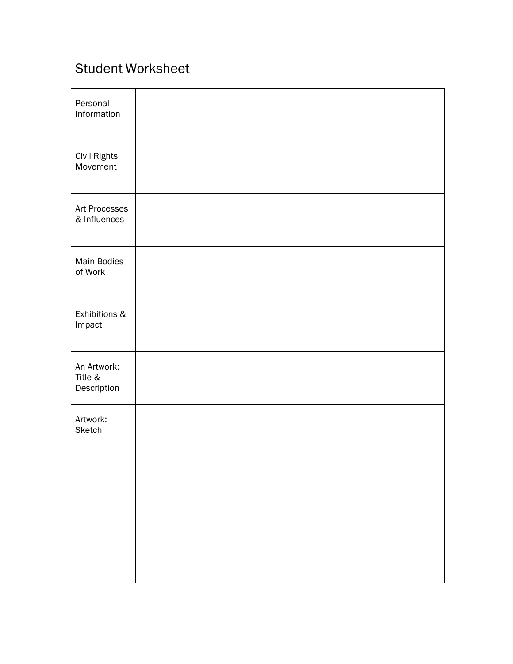### Student Worksheet

| Personal<br>Information               |  |
|---------------------------------------|--|
| Civil Rights<br>Movement              |  |
| Art Processes<br>& Influences         |  |
| Main Bodies<br>of Work                |  |
| Exhibitions &<br>Impact               |  |
| An Artwork:<br>Title &<br>Description |  |
| Artwork:<br><b>Sketch</b>             |  |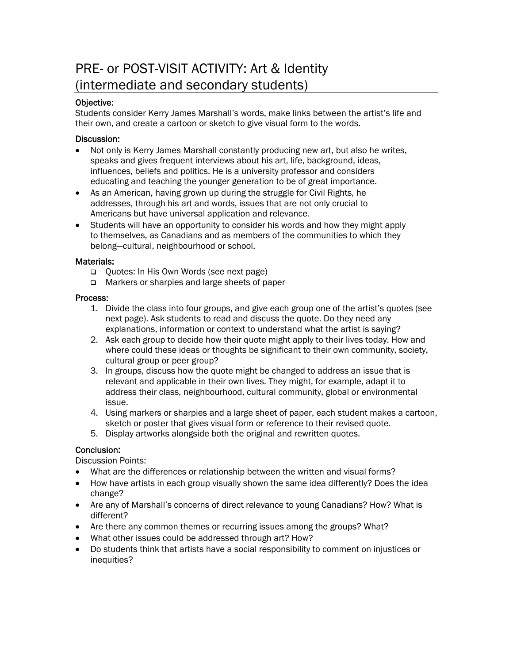### PRE- or POST-VISIT ACTIVITY: Art & Identity (intermediate and secondary students)

### Objective:

Students consider Kerry James Marshall's words, make links between the artist's life and their own, and create a cartoon or sketch to give visual form to the words.

#### Discussion:

- Not only is Kerry James Marshall constantly producing new art, but also he writes, speaks and gives frequent interviews about his art, life, background, ideas, influences, beliefs and politics. He is a university professor and considers educating and teaching the younger generation to be of great importance.
- As an American, having grown up during the struggle for Civil Rights, he addresses, through his art and words, issues that are not only crucial to Americans but have universal application and relevance.
- Students will have an opportunity to consider his words and how they might apply to themselves, as Canadians and as members of the communities to which they belong—cultural, neighbourhood or school.

### Materials:

- Quotes: In His Own Words (see next page)
- Markers or sharpies and large sheets of paper

### Process:

- 1. Divide the class into four groups, and give each group one of the artist's quotes (see next page). Ask students to read and discuss the quote. Do they need any explanations, information or context to understand what the artist is saying?
- 2. Ask each group to decide how their quote might apply to their lives today. How and where could these ideas or thoughts be significant to their own community, society, cultural group or peer group?
- 3. In groups, discuss how the quote might be changed to address an issue that is relevant and applicable in their own lives. They might, for example, adapt it to address their class, neighbourhood, cultural community, global or environmental issue.
- 4. Using markers or sharpies and a large sheet of paper, each student makes a cartoon, sketch or poster that gives visual form or reference to their revised quote.
- 5. Display artworks alongside both the original and rewritten quotes.

### Conclusion:

Discussion Points:

- What are the differences or relationship between the written and visual forms?
- How have artists in each group visually shown the same idea differently? Does the idea change?
- Are any of Marshall's concerns of direct relevance to young Canadians? How? What is different?
- Are there any common themes or recurring issues among the groups? What?
- What other issues could be addressed through art? How?
- Do students think that artists have a social responsibility to comment on injustices or inequities?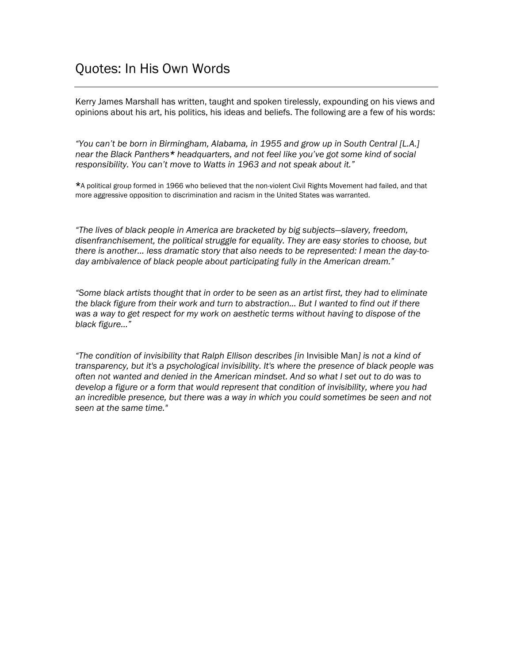Kerry James Marshall has written, taught and spoken tirelessly, expounding on his views and opinions about his art, his politics, his ideas and beliefs. The following are a few of his words:

*"You can't be born in Birmingham, Alabama, in 1955 and grow up in South Central [L.A.] near the Black Panthers\* headquarters, and not feel like you've got some kind of social responsibility. You can't move to Watts in 1963 and not speak about it."* 

\*A political group formed in 1966 who believed that the non-violent Civil Rights Movement had failed, and that more aggressive opposition to discrimination and racism in the United States was warranted.

*"The lives of black people in America are bracketed by big subjects—slavery, freedom, disenfranchisement, the political struggle for equality. They are easy stories to choose, but there is another… less dramatic story that also needs to be represented: I mean the day-today ambivalence of black people about participating fully in the American dream."* 

*"Some black artists thought that in order to be seen as an artist first, they had to eliminate the black figure from their work and turn to abstraction… But I wanted to find out if there was a way to get respect for my work on aesthetic terms without having to dispose of the black figure…"* 

*"The condition of invisibility that Ralph Ellison describes [in* Invisible Man*] is not a kind of transparency, but it's a psychological invisibility. It's where the presence of black people was often not wanted and denied in the American mindset. And so what I set out to do was to develop a figure or a form that would represent that condition of invisibility, where you had an incredible presence, but there was a way in which you could sometimes be seen and not seen at the same time."*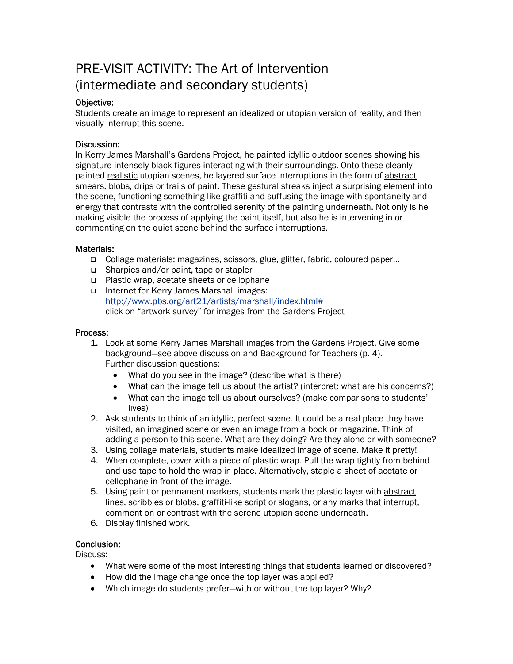### PRE-VISIT ACTIVITY: The Art of Intervention (intermediate and secondary students)

### Objective:

Students create an image to represent an idealized or utopian version of reality, and then visually interrupt this scene.

### Discussion:

In Kerry James Marshall's Gardens Project, he painted idyllic outdoor scenes showing his signature intensely black figures interacting with their surroundings. Onto these cleanly painted realistic utopian scenes, he layered surface interruptions in the form of abstract smears, blobs, drips or trails of paint. These gestural streaks inject a surprising element into the scene, functioning something like graffiti and suffusing the image with spontaneity and energy that contrasts with the controlled serenity of the painting underneath. Not only is he making visible the process of applying the paint itself, but also he is intervening in or commenting on the quiet scene behind the surface interruptions.

### Materials:

- Collage materials: magazines, scissors, glue, glitter, fabric, coloured paper…
- □ Sharpies and/or paint, tape or stapler
- □ Plastic wrap, acetate sheets or cellophane
- Internet for Kerry James Marshall images: [http://www.pbs.org/art21/artists/marshall/index.html#](http://www.pbs.org/art21/artists/marshall/index.html) click on "artwork survey" for images from the Gardens Project

#### Process:

- 1. Look at some Kerry James Marshall images from the Gardens Project. Give some background—see above discussion and Background for Teachers (p. 4). Further discussion questions:
	- What do you see in the image? (describe what is there)
	- What can the image tell us about the artist? (interpret: what are his concerns?)
	- What can the image tell us about ourselves? (make comparisons to students' lives)
- 2. Ask students to think of an idyllic, perfect scene. It could be a real place they have visited, an imagined scene or even an image from a book or magazine. Think of adding a person to this scene. What are they doing? Are they alone or with someone?
- 3. Using collage materials, students make idealized image of scene. Make it pretty!
- 4. When complete, cover with a piece of plastic wrap. Pull the wrap tightly from behind and use tape to hold the wrap in place. Alternatively, staple a sheet of acetate or cellophane in front of the image.
- 5. Using paint or permanent markers, students mark the plastic layer with abstract lines, scribbles or blobs, graffiti-like script or slogans, or any marks that interrupt, comment on or contrast with the serene utopian scene underneath.
- 6. Display finished work.

### Conclusion:

Discuss:

- What were some of the most interesting things that students learned or discovered?
- How did the image change once the top layer was applied?
- Which image do students prefer—with or without the top layer? Why?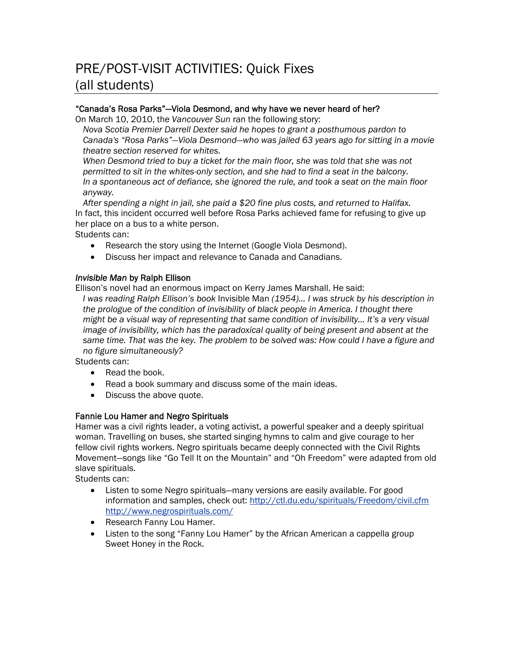### PRE/POST-VISIT ACTIVITIES: Quick Fixes (all students)

### "Canada's Rosa Parks"—Viola Desmond, and why have we never heard of her?

On March 10, 2010, the *Vancouver Sun* ran the following story:

*Nova Scotia Premier Darrell Dexter said he hopes to grant a posthumous pardon to Canada's "Rosa Parks"—Viola Desmond—who was jailed 63 years ago for sitting in a movie theatre section reserved for whites.* 

*When Desmond tried to buy a ticket for the main floor, she was told that she was not permitted to sit in the whites-only section, and she had to find a seat in the balcony. In a spontaneous act of defiance, she ignored the rule, and took a seat on the main floor anyway.* 

*After spending a night in jail, she paid a \$20 fine plus costs, and returned to Halifax.*  In fact, this incident occurred well before Rosa Parks achieved fame for refusing to give up her place on a bus to a white person.

Students can:

- Research the story using the Internet (Google Viola Desmond).
- Discuss her impact and relevance to Canada and Canadians.

### *Invisible Man* by Ralph Ellison

Ellison's novel had an enormous impact on Kerry James Marshall. He said:

*I was reading Ralph Ellison's book* Invisible Man *(1954)… I was struck by his description in the prologue of the condition of invisibility of black people in America. I thought there might be a visual way of representing that same condition of invisibility… It's a very visual image of invisibility, which has the paradoxical quality of being present and absent at the same time. That was the key. The problem to be solved was: How could I have a figure and no figure simultaneously?* 

Students can:

- Read the book.
- Read a book summary and discuss some of the main ideas.
- Discuss the above quote.

#### Fannie Lou Hamer and Negro Spirituals

Hamer was a civil rights leader, a voting activist, a powerful speaker and a deeply spiritual woman. Travelling on buses, she started singing hymns to calm and give courage to her fellow civil rights workers. Negro spirituals became deeply connected with the Civil Rights Movement—songs like "Go Tell It on the Mountain" and "Oh Freedom" were adapted from old slave spirituals.

Students can:

- Listen to some Negro spirituals—many versions are easily available. For good information and samples, check out: <http://ctl.du.edu/spirituals/Freedom/civil.cfm> <http://www.negrospirituals.com/>
- Research Fanny Lou Hamer.
- Listen to the song "Fanny Lou Hamer" by the African American a cappella group Sweet Honey in the Rock.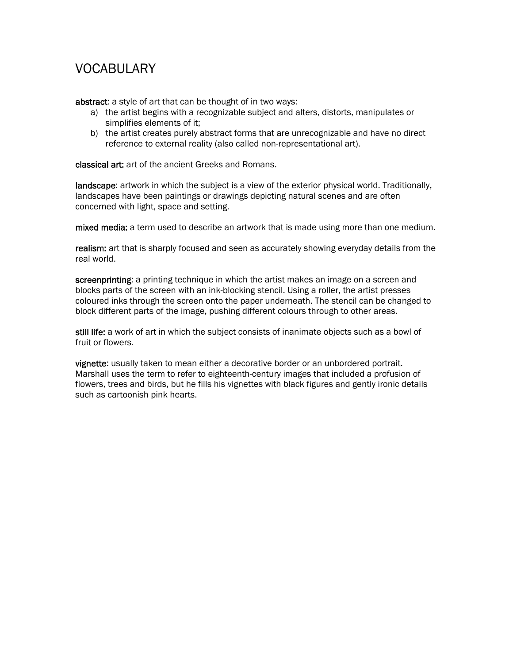### VOCABULARY

abstract: a style of art that can be thought of in two ways:

- a) the artist begins with a recognizable subject and alters, distorts, manipulates or simplifies elements of it;
- b) the artist creates purely abstract forms that are unrecognizable and have no direct reference to external reality (also called non-representational art).

classical art: art of the ancient Greeks and Romans.

**landscape:** artwork in which the subject is a view of the exterior physical world. Traditionally, landscapes have been paintings or drawings depicting natural scenes and are often concerned with light, space and setting.

mixed media: a term used to describe an artwork that is made using more than one medium.

realism: art that is sharply focused and seen as accurately showing everyday details from the real world.

screenprinting: a printing technique in which the artist makes an image on a screen and blocks parts of the screen with an ink-blocking stencil. Using a roller, the artist presses coloured inks through the screen onto the paper underneath. The stencil can be changed to block different parts of the image, pushing different colours through to other areas.

still life: a work of art in which the subject consists of inanimate objects such as a bowl of fruit or flowers.

vignette: usually taken to mean either a decorative border or an unbordered portrait. Marshall uses the term to refer to eighteenth-century images that included a profusion of flowers, trees and birds, but he fills his vignettes with black figures and gently ironic details such as cartoonish pink hearts.